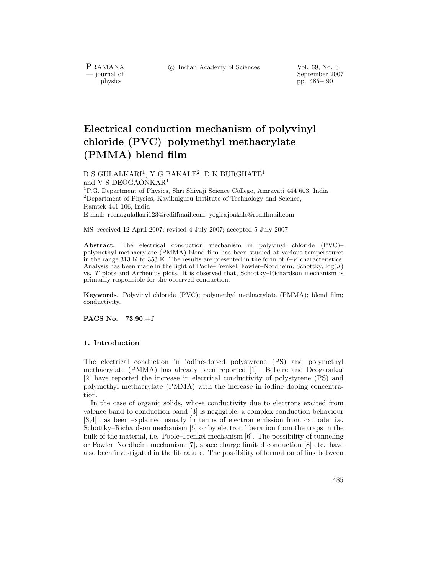PRAMANA<br>— journal of

c Indian Academy of Sciences Vol. 69, No. 3

September 2007 physics pp. 485–490

# **Electrical conduction mechanism of polyvinyl chloride (PVC)–polymethyl methacrylate (PMMA) blend film**

R S GULALKARI<sup>1</sup>, Y G BAKALE<sup>2</sup>, D K BURGHATE<sup>1</sup> and V S DEOGAONKAR<sup>1</sup>

<sup>1</sup>P.G. Department of Physics, Shri Shivaji Science College, Amravati 444 603, India  $^{2}$ Department of Physics, Kavikulguru Institute of Technology and Science, Ramtek 441 106, India

E-mail: reenagulalkari123@rediffmail.com; yogirajbakale@rediffmail.com

MS received 12 April 2007; revised 4 July 2007; accepted 5 July 2007

**Abstract.** The electrical conduction mechanism in polyvinyl chloride (PVC)– polymethyl methacrylate (PMMA) blend film has been studied at various temperatures in the range 313 K to 353 K. The results are presented in the form of *I*–*V* characteristics. Analysis has been made in the light of Poole–Frenkel, Fowler–Nordheim, Schottky, log(*J*) vs. *T* plots and Arrhenius plots. It is observed that, Schottky–Richardson mechanism is primarily responsible for the observed conduction.

**Keywords.** Polyvinyl chloride (PVC); polymethyl methacrylate (PMMA); blend film; conductivity.

**PACS No. 73.90.+f**

#### **1. Introduction**

The electrical conduction in iodine-doped polystyrene (PS) and polymethyl methacrylate (PMMA) has already been reported [1]. Belsare and Deogaonkar [2] have reported the increase in electrical conductivity of polystyrene (PS) and polymethyl methacrylate (PMMA) with the increase in iodine doping concentration.

In the case of organic solids, whose conductivity due to electrons excited from valence band to conduction band [3] is negligible, a complex conduction behaviour [3,4] has been explained usually in terms of electron emission from cathode, i.e. Schottky–Richardson mechanism [5] or by electron liberation from the traps in the bulk of the material, i.e. Poole–Frenkel mechanism [6]. The possibility of tunneling or Fowler–Nordheim mechanism [7], space charge limited conduction [8] etc. have also been investigated in the literature. The possibility of formation of link between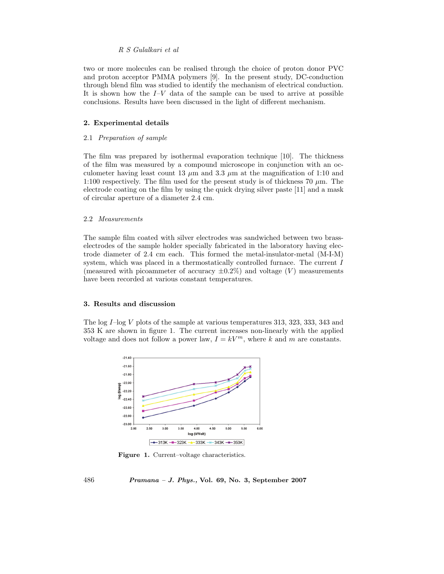#### *R S Gulalkari et al*

two or more molecules can be realised through the choice of proton donor PVC and proton acceptor PMMA polymers [9]. In the present study, DC-conduction through blend film was studied to identify the mechanism of electrical conduction. It is shown how the  $I-V$  data of the sample can be used to arrive at possible conclusions. Results have been discussed in the light of different mechanism.

#### **2. Experimental details**

#### 2.1 *Preparation of sample*

The film was prepared by isothermal evaporation technique [10]. The thickness of the film was measured by a compound microscope in conjunction with an occulometer having least count 13  $\mu$ m and 3.3  $\mu$ m at the magnification of 1:10 and 1:100 respectively. The film used for the present study is of thickness 70  $\mu$ m. The electrode coating on the film by using the quick drying silver paste [11] and a mask of circular aperture of a diameter 2.4 cm.

#### 2.2 *Measurements*

The sample film coated with silver electrodes was sandwiched between two brasselectrodes of the sample holder specially fabricated in the laboratory having electrode diameter of 2.4 cm each. This formed the metal-insulator-metal (M-I-M) system, which was placed in a thermostatically controlled furnace. The current I (measured with picoammeter of accuracy  $\pm 0.2\%$ ) and voltage (V) measurements have been recorded at various constant temperatures.

#### **3. Results and discussion**

The log I–log V plots of the sample at various temperatures 313, 323, 333, 343 and 353 K are shown in figure 1. The current increases non-linearly with the applied voltage and does not follow a power law,  $I = kV^m$ , where k and m are constants.



**Figure 1.** Current–voltage characteristics.

486 *Pramana – J. Phys.,* **Vol. 69, No. 3, September 2007**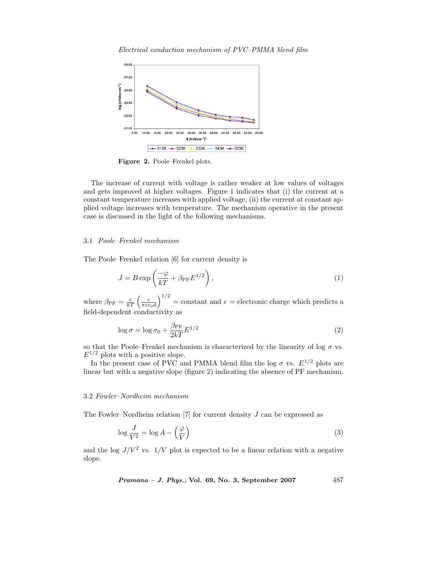*Electrical conduction mechanism of PVC–PMMA blend film*



**Figure 2.** Poole–Frenkel plots.

The increase of current with voltage is rather weaker at low values of voltages and gets improved at higher voltages. Figure 1 indicates that (i) the current at a constant temperature increases with applied voltage, (ii) the current at constant applied voltage increases with temperature. The mechanism operative in the present case is discussed in the light of the following mechanisms.

#### 3.1 *Poole–Frenkel mechanism*

The Poole–Frenkel relation [6] for current density is

$$
J = B \exp\left(\frac{-\varphi}{kT} + \beta_{\rm PF} E^{1/2}\right),\tag{1}
$$

where  $\beta_{\text{PF}} = \frac{e}{kT} \left( \frac{e}{\pi \varepsilon \varepsilon_0 d} \right)^{1/2}$  = constant and  $e =$  electronic charge which predicts a field-dependent conductivity as

$$
\log \sigma = \log \sigma_0 + \frac{\beta_{\rm PF}}{2kT} E^{1/2}
$$
\n(2)

so that the Poole–Frenkel mechanism is characterized by the linearity of log  $\sigma$  vs.  $E^{1/2}$  plots with a positive slope.

In the present case of PVC and PMMA blend film the log  $\sigma$  vs.  $E^{1/2}$  plots are linear but with a negative slope (figure 2) indicating the absence of PF mechanism.

#### 3.2 *Fowler–Nordheim mechanism*

The Fowler–Nordheim relation  $[7]$  for current density  $J$  can be expressed as

$$
\log \frac{J}{V^2} = \log A - \left(\frac{\varphi}{V}\right) \tag{3}
$$

and the log  $J/V^2$  vs.  $1/V$  plot is expected to be a linear relation with a negative slope.

*Pramana – J. Phys.,* **Vol. 69, No. 3, September 2007** 487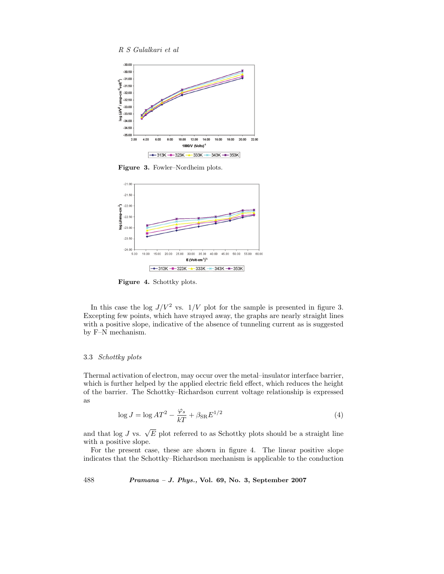



**Figure 3.** Fowler–Nordheim plots.



**Figure 4.** Schottky plots.

In this case the log  $J/V^2$  vs.  $1/V$  plot for the sample is presented in figure 3. Excepting few points, which have strayed away, the graphs are nearly straight lines with a positive slope, indicative of the absence of tunneling current as is suggested by F–N mechanism.

#### 3.3 *Schottky plots*

Thermal activation of electron, may occur over the metal–insulator interface barrier, which is further helped by the applied electric field effect, which reduces the height of the barrier. The Schottky–Richardson current voltage relationship is expressed as

$$
\log J = \log AT^2 - \frac{\varphi_s}{kT} + \beta_{\rm SR} E^{1/2}
$$
\n(4)

and that log J vs.  $\sqrt{E}$  plot referred to as Schottky plots should be a straight line with a positive slope.

For the present case, these are shown in figure 4. The linear positive slope indicates that the Schottky–Richardson mechanism is applicable to the conduction

488 *Pramana – J. Phys.,* **Vol. 69, No. 3, September 2007**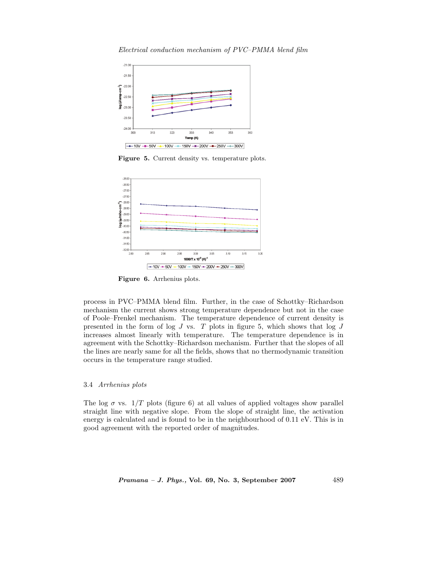*Electrical conduction mechanism of PVC–PMMA blend film*



**Figure 5.** Current density vs. temperature plots.



**Figure 6.** Arrhenius plots.

process in PVC–PMMA blend film. Further, in the case of Schottky–Richardson mechanism the current shows strong temperature dependence but not in the case of Poole–Frenkel mechanism. The temperature dependence of current density is presented in the form of log  $J$  vs.  $T$  plots in figure 5, which shows that log  $J$ increases almost linearly with temperature. The temperature dependence is in agreement with the Schottky–Richardson mechanism. Further that the slopes of all the lines are nearly same for all the fields, shows that no thermodynamic transition occurs in the temperature range studied.

# 3.4 *Arrhenius plots*

The log  $\sigma$  vs.  $1/T$  plots (figure 6) at all values of applied voltages show parallel straight line with negative slope. From the slope of straight line, the activation energy is calculated and is found to be in the neighbourhood of 0.11 eV. This is in good agreement with the reported order of magnitudes.